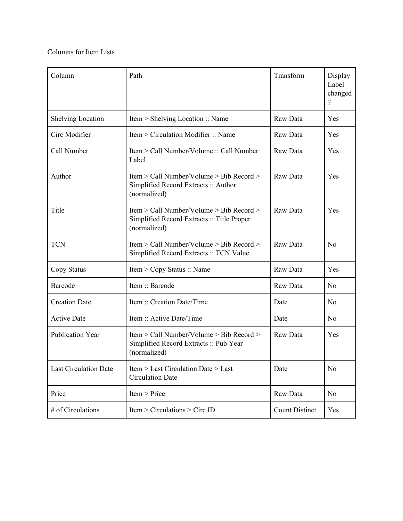## Columns for Item Lists

| Column                       | Path                                                                                                   | Transform             | Display<br>Label<br>changed<br>$\gamma$ |
|------------------------------|--------------------------------------------------------------------------------------------------------|-----------------------|-----------------------------------------|
| <b>Shelving Location</b>     | Item > Shelving Location :: Name                                                                       | Raw Data              | Yes                                     |
| Circ Modifier                | Item > Circulation Modifier :: Name                                                                    | Raw Data              | Yes                                     |
| Call Number                  | Item > Call Number/Volume :: Call Number<br>Label                                                      | Raw Data              | Yes                                     |
| Author                       | Item > Call Number/Volume > Bib Record ><br>Simplified Record Extracts: Author<br>(normalized)         | Raw Data              | Yes                                     |
| Title                        | Item > Call Number/Volume > Bib Record ><br>Simplified Record Extracts :: Title Proper<br>(normalized) | Raw Data              | Yes                                     |
| <b>TCN</b>                   | Item > Call Number/Volume > Bib Record ><br>Simplified Record Extracts :: TCN Value                    | Raw Data              | No                                      |
| Copy Status                  | Item > Copy Status :: Name                                                                             | Raw Data              | Yes                                     |
| Barcode                      | Item :: Barcode                                                                                        | Raw Data              | N <sub>0</sub>                          |
| <b>Creation Date</b>         | Item :: Creation Date/Time                                                                             | Date                  | N <sub>0</sub>                          |
| <b>Active Date</b>           | Item :: Active Date/Time                                                                               | Date                  | N <sub>o</sub>                          |
| <b>Publication Year</b>      | Item > Call Number/Volume > Bib Record ><br>Simplified Record Extracts :: Pub Year<br>(normalized)     | Raw Data              | Yes                                     |
| <b>Last Circulation Date</b> | Item > Last Circulation Date > Last<br><b>Circulation Date</b>                                         | Date                  | N <sub>0</sub>                          |
| Price                        | Item > Price                                                                                           | Raw Data              | N <sub>0</sub>                          |
| # of Circulations            | Item > Circulations > Circ ID                                                                          | <b>Count Distinct</b> | Yes                                     |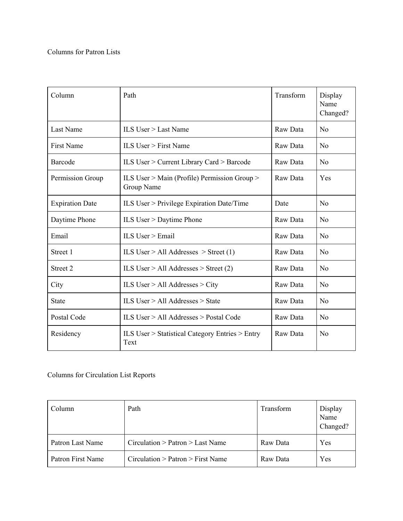| Column                 | Path                                                       | Transform | Display<br>Name<br>Changed? |
|------------------------|------------------------------------------------------------|-----------|-----------------------------|
| Last Name              | ILS User $>$ Last Name                                     | Raw Data  | No                          |
| <b>First Name</b>      | ILS User $>$ First Name                                    | Raw Data  | N <sub>0</sub>              |
| <b>Barcode</b>         | ILS User > Current Library Card > Barcode                  | Raw Data  | N <sub>0</sub>              |
| Permission Group       | ILS User > Main (Profile) Permission Group ><br>Group Name | Raw Data  | Yes                         |
| <b>Expiration Date</b> | ILS User $>$ Privilege Expiration Date/Time                | Date      | N <sub>0</sub>              |
| Daytime Phone          | ILS User $>$ Daytime Phone                                 | Raw Data  | No                          |
| Email                  | ILS User $>$ Email                                         | Raw Data  | N <sub>0</sub>              |
| Street 1               | ILS User > All Addresses > Street $(1)$                    | Raw Data  | No                          |
| Street 2               | ILS User > All Addresses > Street $(2)$                    | Raw Data  | No                          |
| City                   | ILS User > All Addresses > City                            | Raw Data  | N <sub>0</sub>              |
| <b>State</b>           | ILS User $>$ All Addresses $>$ State                       | Raw Data  | No                          |
| Postal Code            | ILS User $>$ All Addresses $>$ Postal Code                 | Raw Data  | N <sub>o</sub>              |
| Residency              | ILS User > Statistical Category Entries > Entry<br>Text    | Raw Data  | N <sub>0</sub>              |

Columns for Circulation List Reports

| Column            | Path                                | Transform | Display<br>Name<br>Changed? |
|-------------------|-------------------------------------|-----------|-----------------------------|
| Patron Last Name  | $Circulation$ > Patron > Last Name  | Raw Data  | Yes                         |
| Patron First Name | $Circulation$ > Patron > First Name | Raw Data  | Yes                         |